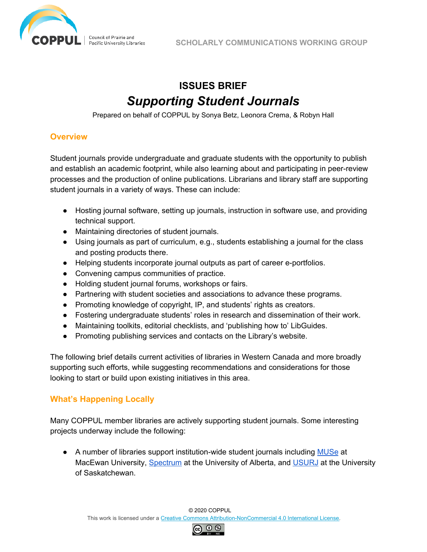

# **ISSUES BRIEF** *Supporting Student Journals*

Prepared on behalf of COPPUL by Sonya Betz, Leonora Crema, & Robyn Hall

## **Overview**

Student journals provide undergraduate and graduate students with the opportunity to publish and establish an academic footprint, while also learning about and participating in peer-review processes and the production of online publications. Librarians and library staff are supporting student journals in a variety of ways. These can include:

- Hosting journal software, setting up journals, instruction in software use, and providing technical support.
- Maintaining directories of student journals.
- Using journals as part of curriculum, e.g., students establishing a journal for the class and posting products there.
- Helping students incorporate journal outputs as part of career e-portfolios.
- Convening campus communities of practice.
- Holding student journal forums, workshops or fairs.
- Partnering with student societies and associations to advance these programs.
- Promoting knowledge of copyright, IP, and students' rights as creators.
- Fostering undergraduate students' roles in research and dissemination of their work.
- Maintaining toolkits, editorial checklists, and 'publishing how to' LibGuides.
- Promoting publishing services and contacts on the Library's website.

The following brief details current activities of libraries in Western Canada and more broadly supporting such efforts, while suggesting recommendations and considerations for those looking to start or build upon existing initiatives in this area.

## **What's Happening Locally**

Many COPPUL member libraries are actively supporting student journals. Some interesting projects underway include the following:

● A number of libraries support institution-wide student journals including [MUSe](https://journals.macewan.ca/muse) at MacEwan University, [Spectrum](https://spectrumjournal.ca/index.php/spectrum) at the University of Alberta, and [USURJ](https://usurj.journals.usask.ca/) at the University of Saskatchewan.

© 2020 COPPUL

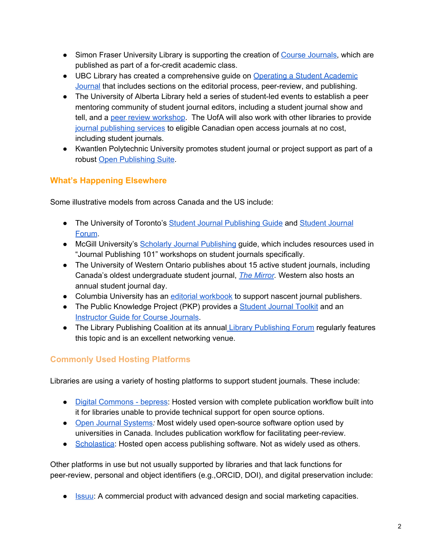- Simon Fraser University Library is supporting the creation of Course [Journals](https://www.lib.sfu.ca/help/publish/dp/publish-us#creating-a-course-journal.), which are published as part of a for-credit academic class.
- UBC Library has created a comprehensive guide on Operating a Student [Academic](http://guides.library.ubc.ca/student_academic_journals) [Journal](http://guides.library.ubc.ca/student_academic_journals) that includes sections on the editorial process, peer-review, and publishing.
- The University of Alberta Library held a series of student-led events to establish a peer mentoring community of student journal editors, including a student journal show and tell, and a peer review [workshop.](https://news.library.ualberta.ca/blog/2020/03/10/demystifying-peer-review/) The UofA will also work with other libraries to provide journal [publishing](https://library.ualberta.ca/publishing/journal-proposal) services to eligible Canadian open access journals at no cost, including student journals.
- Kwantlen Polytechnic University promotes student journal or project support as part of a robust Open [Publishing](https://www.kpu.ca/library/OPUS) Suite.

## **What's Happening Elsewhere**

Some illustrative models from across Canada and the US include:

- The University of Toronto's **Student Journal [Publishing](https://guides.library.utoronto.ca/student_journals/home) Guide and [Student](https://guides.library.utoronto.ca/student_journals/2020forum) Journal** [Forum.](https://guides.library.utoronto.ca/student_journals/2020forum)
- McGill University's Scholarly Journal [Publishing](https://libraryguides.mcgill.ca/journalpublishing) guide, which includes resources used in "Journal Publishing 101" workshops on student journals specifically.
- The University of Western Ontario publishes about 15 active student journals, including Canada's oldest undergraduate student journal, *The [Mirror](https://westerngazette.ca/culture/the-mirror-history-gets-a-digital-facelift/article_c0c502cc-5254-11e9-8697-07757756c776.html?fbclid=IwAR0ruSF9FJcoA_2zV7udnMwyTWf4L4mapTcaGMCifTgoSYaSkHuLx-96z3g).* Western also hosts an annual student journal day.
- Columbia University has an editorial [workbook](http://blogs.cuit.columbia.edu/digitalpublishingworkshop/editorial-workbook/) to support nascent journal publishers.
- The Public Knowledge Project (PKP) provides a **[Student](https://docs.pkp.sfu.ca/student-toolkit/en/) Journal Toolkit** and an [Instructor](https://docs.pkp.sfu.ca/instructor-guide/en/) Guide for Course Journals.
- The Library [Publishing](https://librarypublishing.org/library-publishing-forum/) Coalition at its annual Library Publishing Forum regularly features this topic and is an excellent networking venue.

## **Commonly Used Hosting Platforms**

Libraries are using a variety of hosting platforms to support student journals. These include:

- *●* Digital [Commons](https://www.bepress.com/products/digital-commons/features/journal-publishing/) bepress: Hosted version with complete publication workflow built into it for libraries unable to provide technical support for open source options.
- Open Journal [Systems](https://pkp.sfu.ca/ojs/)*:* Most widely used open-source software option used by universities in Canada. Includes publication workflow for facilitating peer-review.
- [Scholastica](https://scholasticahq.com/): Hosted open access publishing software. Not as widely used as others.

Other platforms in use but not usually supported by libraries and that lack functions for peer-review, personal and object identifiers (e.g.,ORCID, DOI), and digital preservation include:

● **[Issuu](https://issuu.com/): A commercial product with advanced design and social marketing capacities.**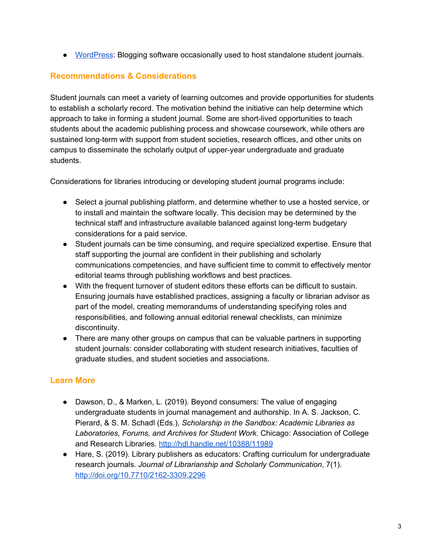● [WordPress](https://wordpress.com/home/coppulscwg.ca): Blogging software occasionally used to host standalone student journals.

## **Recommendations & Considerations**

Student journals can meet a variety of learning outcomes and provide opportunities for students to establish a scholarly record. The motivation behind the initiative can help determine which approach to take in forming a student journal. Some are short-lived opportunities to teach students about the academic publishing process and showcase coursework, while others are sustained long-term with support from student societies, research offices, and other units on campus to disseminate the scholarly output of upper-year undergraduate and graduate students.

Considerations for libraries introducing or developing student journal programs include:

- Select a journal publishing platform, and determine whether to use a hosted service, or to install and maintain the software locally. This decision may be determined by the technical staff and infrastructure available balanced against long-term budgetary considerations for a paid service.
- Student journals can be time consuming, and require specialized expertise. Ensure that staff supporting the journal are confident in their publishing and scholarly communications competencies, and have sufficient time to commit to effectively mentor editorial teams through publishing workflows and best practices.
- With the frequent turnover of student editors these efforts can be difficult to sustain. Ensuring journals have established practices, assigning a faculty or librarian advisor as part of the model, creating memorandums of understanding specifying roles and responsibilities, and following annual editorial renewal checklists, can minimize discontinuity.
- There are many other groups on campus that can be valuable partners in supporting student journals: consider collaborating with student research initiatives, faculties of graduate studies, and student societies and associations.

## **Learn More**

- Dawson, D., & Marken, L. (2019). Beyond consumers: The value of engaging undergraduate students in journal management and authorship. In A. S. Jackson, C. Pierard, & S. M. Schadl (Eds.), *Scholarship in the Sandbox: Academic Libraries as Laboratories, Forums, and Archives for Student Work*. Chicago: Association of College and Research Libraries. <http://hdl.handle.net/10388/11989>
- Hare, S. (2019). Library publishers as educators: Crafting curriculum for undergraduate research journals. *Journal of Librarianship and Scholarly Communication*, 7(1). <http://doi.org/10.7710/2162-3309.2296>